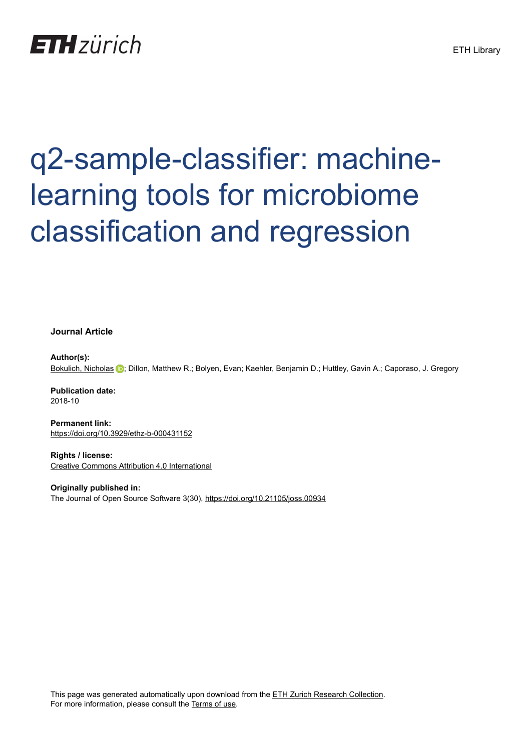## **ETH** zürich

# q2-sample-classifier: machinelearning tools for microbiome classification and regression

**Journal Article**

**Author(s):** [Bokulich, Nicholas](https://orcid.org/0000-0002-1784-8935) <sup>(D</sup>); Dillon, Matthew R.; Bolyen, Evan; Kaehler, Benjamin D.; Huttley, Gavin A.; Caporaso, J. Gregory

**Publication date:** 2018-10

**Permanent link:** <https://doi.org/10.3929/ethz-b-000431152>

**Rights / license:** [Creative Commons Attribution 4.0 International](http://creativecommons.org/licenses/by/4.0/)

**Originally published in:** The Journal of Open Source Software 3(30),<https://doi.org/10.21105/joss.00934>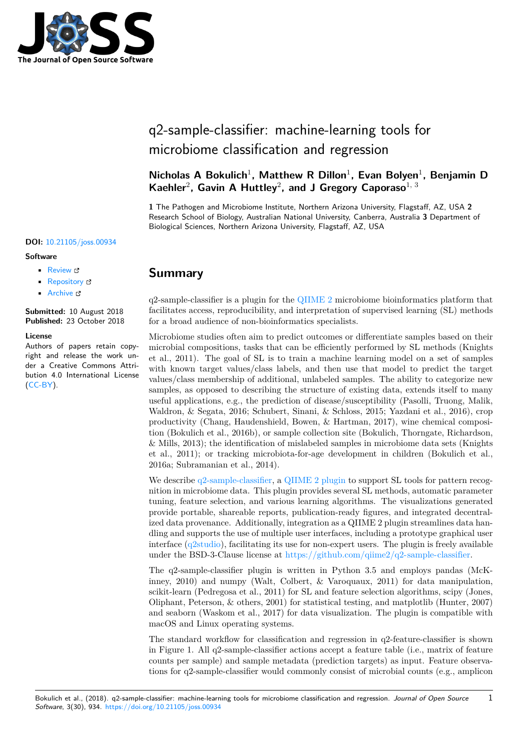

### q2-sample-classifier: machine-learning tools for microbiome classification and regression

Nicholas A Bokulich<sup>1</sup>, Matthew R Dillon<sup>1</sup>, Evan Bolyen<sup>1</sup>, Benjamin D Kaehler<sup>2</sup>, Gavin A Huttley<sup>2</sup>, and J Gregory Caporaso<sup>1, 3</sup>

**1** The Pathogen and Microbiome Institute, Northern Arizona University, Flagstaff, AZ, USA **2** Research School of Biology, Australian National University, Canberra, Australia **3** Department of Biological Sciences, Northern Arizona University, Flagstaff, AZ, USA

#### **DOI:** [10.21105/joss.00934](https://doi.org/10.21105/joss.00934)

#### **Software**

- **•** [Review](https://github.com/openjournals/joss-reviews/issues/934) r?
- [Repository](https://github.com/qiime2/q2-sample-classifier) &
- [Archive](https://doi.org/10.5281/zenodo.1468878) C

**Submitted:** 10 August 2018 **Published:** 23 October 2018

#### **License**

Authors of papers retain copyright and release the work under a Creative Commons Attribution 4.0 International License ([CC-BY](http://creativecommons.org/licenses/by/4.0/)).

#### **Summary**

 $q2$ -sample-classifier is a plugin for the [QIIME 2](https://qiime2.org/) microbiome bioinformatics platform that facilitates access, reproducibility, and interpretation of supervised learning (SL) methods for a broad audience of non-bioinformatics specialists.

Microbiome studies often aim to predict outcomes or differentiate samples based on their microbial compositions, tasks that can be efficiently performed by SL methods (Knights et al., 2011). The goal of SL is to train a machine learning model on a set of samples with known target values/class labels, and then use that model to predict the target values/class membership of additional, unlabeled samples. The ability to categorize new samples, as opposed to describing the structure of existing data, extends itself to many useful applications, e.g., the prediction of disease/susceptibility (Pasolli, Truong, Malik, Waldron, & Segata, 2016; Schubert, Sinani, & Schloss, 2015; Yazdani et al., 2016), crop productivity (Chang, Haudenshield, Bowen, & Hartman, 2017), wine chemical composition (Bokulich et al., 2016b), or sample collection site (Bokulich, Thorngate, Richardson, & Mills, 2013); the identification of mislabeled samples in microbiome data sets (Knights et al., 2011); or tracking microbiota-for-age development in children (Bokulich et al., 2016a; Subramanian et al., 2014).

We describe [q2-sample-classifier](https://github.com/qiime2/q2-sample-classifier), a [QIIME 2 plugin](https://qiime2.org/) to support SL tools for pattern recognition in microbiome data. This plugin provides several SL methods, automatic parameter tuning, feature selection, and various learning algorithms. The visualizations generated provide portable, shareable reports, publication-ready figures, and integrated decentralized data provenance. Additionally, integration as a QIIME 2 plugin streamlines data handling and supports the use of multiple user interfaces, including a prototype graphical user interface ([q2studio](https://github.com/qiime2/q2studio%5D)), facilitating its use for non-expert users. The plugin is freely available under the BSD-3-Clause license at  $\frac{https://github.com/qiume2/q2-sample-classifier}{https://github.com/qiume2/q2-sample-classifier}$ .

The q2-sample-classifier plugin is written in Python 3.5 and employs pandas (McKinney, 2010) and numpy (Walt, Colbert, & Varoquaux, 2011) for data manipulation, scikit-learn (Pedregosa et al., 2011) for SL and feature selection algorithms, scipy (Jones, Oliphant, Peterson, & others, 2001) for statistical testing, and matplotlib (Hunter, 2007) and seaborn (Waskom et al., 2017) for data visualization. The plugin is compatible with macOS and Linux operating systems.

The standard workflow for classification and regression in q2-feature-classifier is shown in Figure 1. All q2-sample-classifier actions accept a feature table (i.e., matrix of feature counts per sample) and sample metadata (prediction targets) as input. Feature observations for q2-sample-classifier would commonly consist of microbial counts (e.g., amplicon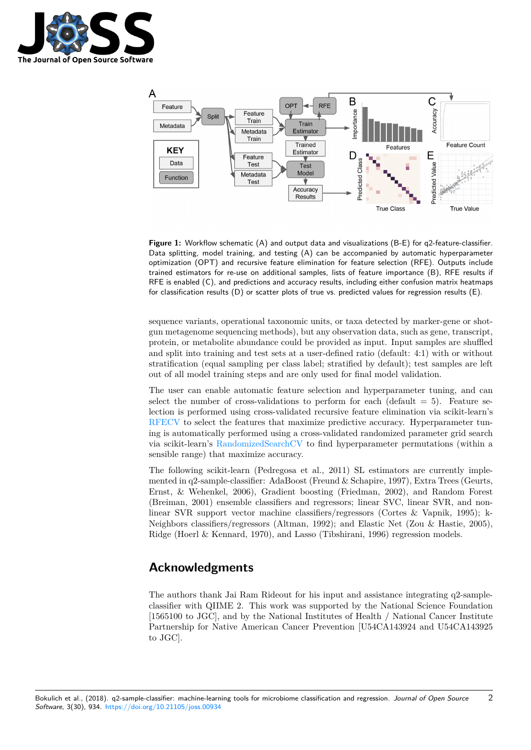



**Figure 1:** Workflow schematic (A) and output data and visualizations (B-E) for q2-feature-classifier. Data splitting, model training, and testing (A) can be accompanied by automatic hyperparameter optimization (OPT) and recursive feature elimination for feature selection (RFE). Outputs include trained estimators for re-use on additional samples, lists of feature importance (B), RFE results if RFE is enabled (C), and predictions and accuracy results, including either confusion matrix heatmaps for classification results (D) or scatter plots of true vs. predicted values for regression results (E).

sequence variants, operational taxonomic units, or taxa detected by marker-gene or shotgun metagenome sequencing methods), but any observation data, such as gene, transcript, protein, or metabolite abundance could be provided as input. Input samples are shuffled and split into training and test sets at a user-defined ratio (default: 4:1) with or without stratification (equal sampling per class label; stratified by default); test samples are left out of all model training steps and are only used for final model validation.

The user can enable automatic feature selection and hyperparameter tuning, and can select the number of cross-validations to perform for each (default  $= 5$ ). Feature selection is performed using cross-validated recursive feature elimination via scikit-learn's [RFECV](http://scikit-learn.org/stable/modules/generated/sklearn.feature_selection.RFECV.html) to select the features that maximize predictive accuracy. Hyperparameter tuning is automatically performed using a cross-validated randomized parameter grid search via scikit-learn's [RandomizedSearchCV](http://scikit-learn.org/stable/modules/generated/sklearn.model_selection.RandomizedSearchCV.html) to find hyperparameter permutations (within a sensible range) that maximize accuracy.

The following scikit-learn (Pedregosa et al., 2011) SL estimators are currently implemented in q2-sample-classifier: AdaBoost (Freund & Schapire, 1997), Extra Trees (Geurts, Ernst, & Wehenkel, 2006), Gradient boosting (Friedman, 2002), and Random Forest (Breiman, 2001) ensemble classifiers and regressors; linear SVC, linear SVR, and nonlinear SVR support vector machine classifiers/regressors (Cortes & Vapnik, 1995); k-Neighbors classifiers/regressors (Altman, 1992); and Elastic Net (Zou & Hastie, 2005), Ridge (Hoerl & Kennard, 1970), and Lasso (Tibshirani, 1996) regression models.

#### **Acknowledgments**

The authors thank Jai Ram Rideout for his input and assistance integrating q2-sampleclassifier with QIIME 2. This work was supported by the National Science Foundation [1565100 to JGC], and by the National Institutes of Health / National Cancer Institute Partnership for Native American Cancer Prevention [U54CA143924 and U54CA143925 to JGC].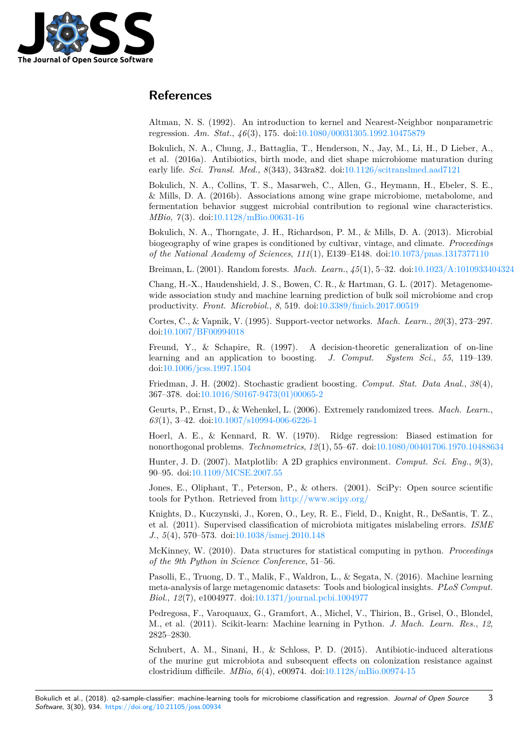

#### **References**

Altman, N. S. (1992). An introduction to kernel and Nearest-Neighbor nonparametric regression. *Am. Stat.*, *46*(3), 175. doi:[10.1080/00031305.1992.10475879](https://doi.org/10.1080/00031305.1992.10475879)

Bokulich, N. A., Chung, J., Battaglia, T., Henderson, N., Jay, M., Li, H., D Lieber, A., et al. (2016a). Antibiotics, birth mode, and diet shape microbiome maturation during early life. *Sci. Transl. Med.*, *8*(343), 343ra82. doi:[10.1126/scitranslmed.aad7121](https://doi.org/10.1126/scitranslmed.aad7121)

Bokulich, N. A., Collins, T. S., Masarweh, C., Allen, G., Heymann, H., Ebeler, S. E., & Mills, D. A. (2016b). Associations among wine grape microbiome, metabolome, and fermentation behavior suggest microbial contribution to regional wine characteristics. *MBio*, *7*(3). doi[:10.1128/mBio.00631-16](https://doi.org/10.1128/mBio.00631-16)

Bokulich, N. A., Thorngate, J. H., Richardson, P. M., & Mills, D. A. (2013). Microbial biogeography of wine grapes is conditioned by cultivar, vintage, and climate. *Proceedings of the National Academy of Sciences*, *111*(1), E139–E148. doi:[10.1073/pnas.1317377110](https://doi.org/10.1073/pnas.1317377110)

Breiman, L. (2001). Random forests. *Mach. Learn.*, *45*(1), 5–32. doi[:10.1023/A:1010933404324](https://doi.org/10.1023/A:1010933404324)

Chang, H.-X., Haudenshield, J. S., Bowen, C. R., & Hartman, G. L. (2017). Metagenomewide association study and machine learning prediction of bulk soil microbiome and crop productivity. *Front. Microbiol.*, *8*, 519. doi[:10.3389/fmicb.2017.00519](https://doi.org/10.3389/fmicb.2017.00519)

Cortes, C., & Vapnik, V. (1995). Support-vector networks. *Mach. Learn.*, *20*(3), 273–297. doi:[10.1007/BF00994018](https://doi.org/10.1007/BF00994018)

Freund, Y., & Schapire, R. (1997). A decision-theoretic generalization of on-line learning and an application to boosting. *J. Comput. System Sci.*, *55*, 119–139. doi:[10.1006/jcss.1997.1504](https://doi.org/10.1006/jcss.1997.1504)

Friedman, J. H. (2002). Stochastic gradient boosting. *Comput. Stat. Data Anal.*, *38*(4), 367–378. doi:[10.1016/S0167-9473\(01\)00065-2](https://doi.org/10.1016/S0167-9473(01)00065-2)

Geurts, P., Ernst, D., & Wehenkel, L. (2006). Extremely randomized trees. *Mach. Learn.*, *63*(1), 3–42. doi:[10.1007/s10994-006-6226-1](https://doi.org/10.1007/s10994-006-6226-1)

Hoerl, A. E., & Kennard, R. W. (1970). Ridge regression: Biased estimation for nonorthogonal problems. *Technometrics*, *12*(1), 55–67. doi[:10.1080/00401706.1970.10488634](https://doi.org/10.1080/00401706.1970.10488634)

Hunter, J. D. (2007). Matplotlib: A 2D graphics environment. *Comput. Sci. Eng.*, *9*(3), 90–95. doi[:10.1109/MCSE.2007.55](https://doi.org/10.1109/MCSE.2007.55)

Jones, E., Oliphant, T., Peterson, P., & others. (2001). SciPy: Open source scientific tools for Python. Retrieved from <http://www.scipy.org/>

Knights, D., Kuczynski, J., Koren, O., Ley, R. E., Field, D., Knight, R., DeSantis, T. Z., et al. (2011). Supervised classification of microbiota mitigates mislabeling errors. *ISME J.*, *5*(4), 570–573. doi:[10.1038/ismej.2010.148](https://doi.org/10.1038/ismej.2010.148)

McKinney, W. (2010). Data structures for statistical computing in python. *Proceedings of the 9th Python in Science Conference*, 51–56.

Pasolli, E., Truong, D. T., Malik, F., Waldron, L., & Segata, N. (2016). Machine learning meta-analysis of large metagenomic datasets: Tools and biological insights. *PLoS Comput. Biol.*, *12*(7), e1004977. doi:[10.1371/journal.pcbi.1004977](https://doi.org/10.1371/journal.pcbi.1004977)

Pedregosa, F., Varoquaux, G., Gramfort, A., Michel, V., Thirion, B., Grisel, O., Blondel, M., et al. (2011). Scikit-learn: Machine learning in Python. *J. Mach. Learn. Res.*, *12*, 2825–2830.

Schubert, A. M., Sinani, H., & Schloss, P. D. (2015). Antibiotic-induced alterations of the murine gut microbiota and subsequent effects on colonization resistance against clostridium difficile. *MBio*, *6*(4), e00974. doi[:10.1128/mBio.00974-15](https://doi.org/10.1128/mBio.00974-15)